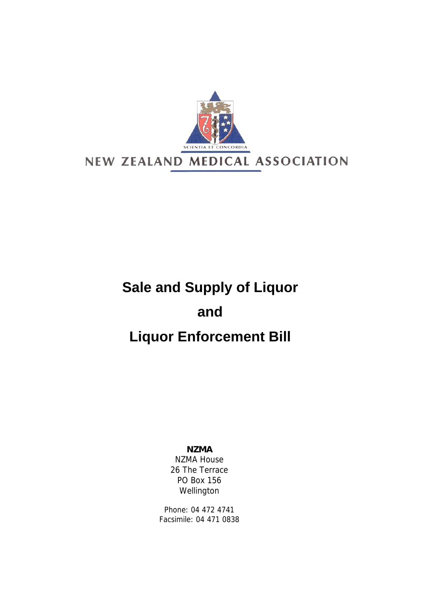

## **Sale and Supply of Liquor and Liquor Enforcement Bill**

## **NZMA**

NZMA House 26 The Terrace PO Box 156 Wellington

Phone: 04 472 4741 Facsimile: 04 471 0838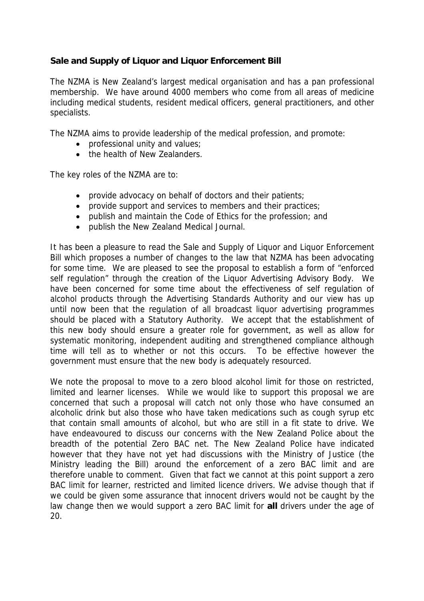## **Sale and Supply of Liquor and Liquor Enforcement Bill**

The NZMA is New Zealand's largest medical organisation and has a pan professional membership. We have around 4000 members who come from all areas of medicine including medical students, resident medical officers, general practitioners, and other specialists.

The NZMA aims to provide leadership of the medical profession, and promote:

- professional unity and values;
- the health of New Zealanders.

The key roles of the NZMA are to:

- provide advocacy on behalf of doctors and their patients;
- provide support and services to members and their practices;
- publish and maintain the Code of Ethics for the profession; and
- publish the New Zealand Medical Journal.

It has been a pleasure to read the Sale and Supply of Liquor and Liquor Enforcement Bill which proposes a number of changes to the law that NZMA has been advocating for some time. We are pleased to see the proposal to establish a form of "enforced self regulation" through the creation of the Liquor Advertising Advisory Body. We have been concerned for some time about the effectiveness of self regulation of alcohol products through the Advertising Standards Authority and our view has up until now been that the regulation of all broadcast liquor advertising programmes should be placed with a Statutory Authority. We accept that the establishment of this new body should ensure a greater role for government, as well as allow for systematic monitoring, independent auditing and strengthened compliance although time will tell as to whether or not this occurs. To be effective however the government must ensure that the new body is adequately resourced.

We note the proposal to move to a zero blood alcohol limit for those on restricted, limited and learner licenses. While we would like to support this proposal we are concerned that such a proposal will catch not only those who have consumed an alcoholic drink but also those who have taken medications such as cough syrup etc that contain small amounts of alcohol, but who are still in a fit state to drive. We have endeavoured to discuss our concerns with the New Zealand Police about the breadth of the potential Zero BAC net. The New Zealand Police have indicated however that they have not yet had discussions with the Ministry of Justice (the Ministry leading the Bill) around the enforcement of a zero BAC limit and are therefore unable to comment. Given that fact we cannot at this point support a zero BAC limit for learner, restricted and limited licence drivers. We advise though that if we could be given some assurance that innocent drivers would not be caught by the law change then we would support a zero BAC limit for **all** drivers under the age of 20.